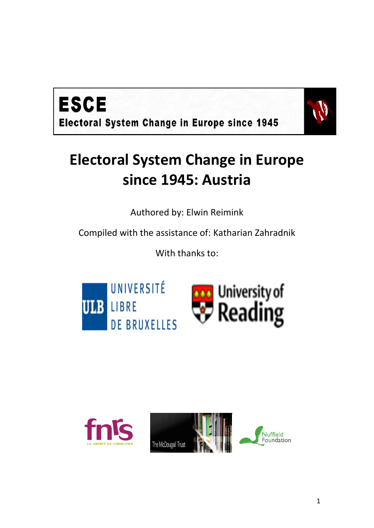



# **Electoral System Change in Europe since 1945: Austria**

Authored by: Elwin Reimink

Compiled with the assistance of: Katharian Zahradnik

With thanks to:





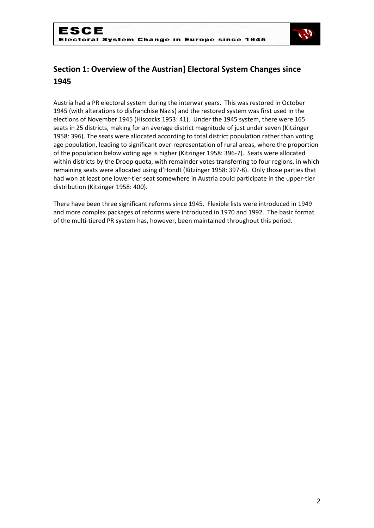

# **Section 1: Overview of the Austrian] Electoral System Changes since 1945**

Austria had a PR electoral system during the interwar years. This was restored in October 1945 (with alterations to disfranchise Nazis) and the restored system was first used in the elections of November 1945 (Hiscocks 1953: 41). Under the 1945 system, there were 165 seats in 25 districts, making for an average district magnitude of just under seven (Kitzinger 1958: 396). The seats were allocated according to total district population rather than voting age population, leading to significant over-representation of rural areas, where the proportion of the population below voting age is higher (Kitzinger 1958: 396-7). Seats were allocated within districts by the Droop quota, with remainder votes transferring to four regions, in which remaining seats were allocated using d'Hondt (Kitzinger 1958: 397-8). Only those parties that had won at least one lower-tier seat somewhere in Austria could participate in the upper-tier distribution (Kitzinger 1958: 400).

There have been three significant reforms since 1945. Flexible lists were introduced in 1949 and more complex packages of reforms were introduced in 1970 and 1992. The basic format of the multi-tiered PR system has, however, been maintained throughout this period.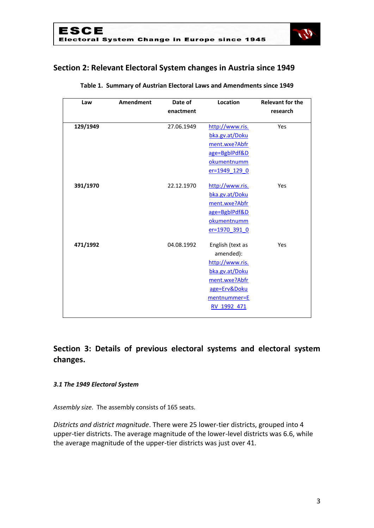

# **Section 2: Relevant Electoral System changes in Austria since 1949**

| Law      | Amendment | Date of    | Location         | <b>Relevant for the</b> |
|----------|-----------|------------|------------------|-------------------------|
|          |           | enactment  |                  | research                |
| 129/1949 |           | 27.06.1949 | http://www.ris.  | Yes                     |
|          |           |            | bka.gv.at/Doku   |                         |
|          |           |            | ment.wxe?Abfr    |                         |
|          |           |            | age=BgblPdf&D    |                         |
|          |           |            | okumentnumm      |                         |
|          |           |            | er=1949 129 0    |                         |
| 391/1970 |           | 22.12.1970 | http://www.ris.  | Yes                     |
|          |           |            | bka.gv.at/Doku   |                         |
|          |           |            | ment.wxe?Abfr    |                         |
|          |           |            | age=BgblPdf&D    |                         |
|          |           |            | okumentnumm      |                         |
|          |           |            | er=1970 391 0    |                         |
| 471/1992 |           | 04.08.1992 | English (text as | Yes                     |
|          |           |            | amended):        |                         |
|          |           |            | http://www.ris.  |                         |
|          |           |            | bka.gv.at/Doku   |                         |
|          |           |            | ment.wxe?Abfr    |                         |
|          |           |            | age=Erv&Doku     |                         |
|          |           |            | mentnummer=E     |                         |
|          |           |            | RV 1992 471      |                         |
|          |           |            |                  |                         |

#### **Table 1. Summary of Austrian Electoral Laws and Amendments since 1949**

# **Section 3: Details of previous electoral systems and electoral system changes.**

#### *3.1 The 1949 Electoral System*

*Assembly size*. The assembly consists of 165 seats.

*Districts and district magnitude*. There were 25 lower-tier districts, grouped into 4 upper-tier districts. The average magnitude of the lower-level districts was 6.6, while the average magnitude of the upper-tier districts was just over 41.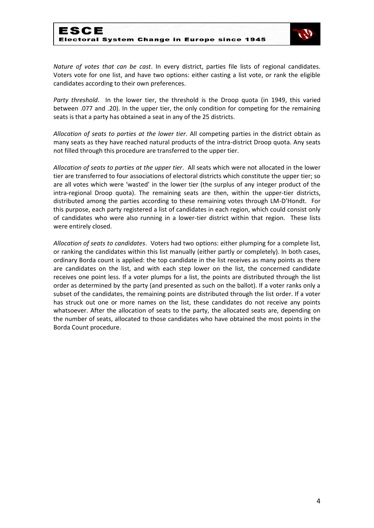

*Nature of votes that can be cast*. In every district, parties file lists of regional candidates. Voters vote for one list, and have two options: either casting a list vote, or rank the eligible candidates according to their own preferences.

*Party threshold*. In the lower tier, the threshold is the Droop quota (in 1949, this varied between .077 and .20). In the upper tier, the only condition for competing for the remaining seats is that a party has obtained a seat in any of the 25 districts.

*Allocation of seats to parties at the lower tier*. All competing parties in the district obtain as many seats as they have reached natural products of the intra-district Droop quota. Any seats not filled through this procedure are transferred to the upper tier.

*Allocation of seats to parties at the upper tier*. All seats which were not allocated in the lower tier are transferred to four associations of electoral districts which constitute the upper tier; so are all votes which were 'wasted' in the lower tier (the surplus of any integer product of the intra-regional Droop quota). The remaining seats are then, within the upper-tier districts, distributed among the parties according to these remaining votes through LM-D'Hondt. For this purpose, each party registered a list of candidates in each region, which could consist only of candidates who were also running in a lower-tier district within that region. These lists were entirely closed.

*Allocation of seats to candidates*. Voters had two options: either plumping for a complete list, or ranking the candidates within this list manually (either partly or completely). In both cases, ordinary Borda count is applied: the top candidate in the list receives as many points as there are candidates on the list, and with each step lower on the list, the concerned candidate receives one point less. If a voter plumps for a list, the points are distributed through the list order as determined by the party (and presented as such on the ballot). If a voter ranks only a subset of the candidates, the remaining points are distributed through the list order. If a voter has struck out one or more names on the list, these candidates do not receive any points whatsoever. After the allocation of seats to the party, the allocated seats are, depending on the number of seats, allocated to those candidates who have obtained the most points in the Borda Count procedure.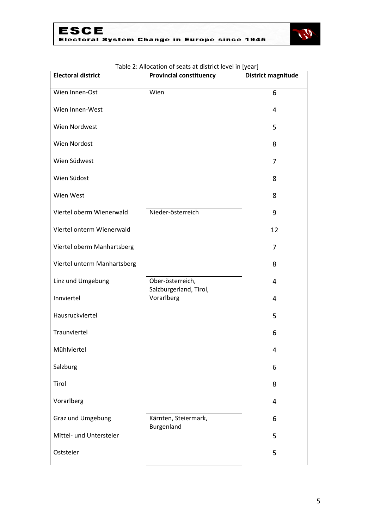

| <b>Electoral district</b>   | <b>Provincial constituency</b>             | <b>District magnitude</b> |
|-----------------------------|--------------------------------------------|---------------------------|
| Wien Innen-Ost              | Wien                                       | 6                         |
| Wien Innen-West             |                                            | 4                         |
| Wien Nordwest               |                                            | 5                         |
| Wien Nordost                |                                            | 8                         |
| Wien Südwest                |                                            | 7                         |
| Wien Südost                 |                                            | 8                         |
| Wien West                   |                                            | 8                         |
| Viertel oberm Wienerwald    | Nieder-österreich                          | 9                         |
| Viertel onterm Wienerwald   |                                            | 12                        |
| Viertel oberm Manhartsberg  |                                            | 7                         |
| Viertel unterm Manhartsberg |                                            | 8                         |
| Linz und Umgebung           | Ober-österreich,<br>Salzburgerland, Tirol, | 4                         |
| Innviertel                  | Vorarlberg                                 | 4                         |
| Hausruckviertel             |                                            | 5                         |
| Traunviertel                |                                            | 6                         |
| Mühlviertel                 |                                            | Δ                         |
| Salzburg                    |                                            | 6                         |
| Tirol                       |                                            | 8                         |
| Vorarlberg                  |                                            | 4                         |
| Graz und Umgebung           | Kärnten, Steiermark,<br>Burgenland         | 6                         |
| Mittel- und Untersteier     |                                            | 5                         |
| Oststeier                   |                                            | 5                         |

#### Table 2: Allocation of seats at district level in [year]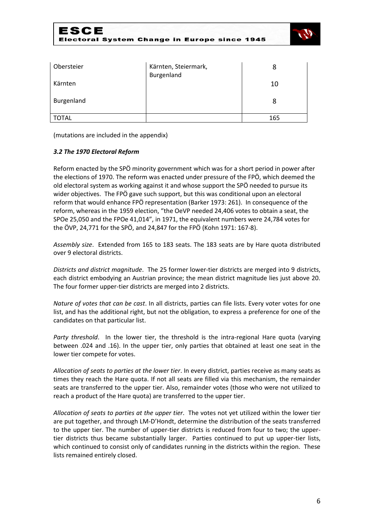

| Obersteier | Kärnten, Steiermark,<br>Burgenland |     |
|------------|------------------------------------|-----|
| Kärnten    |                                    | 10  |
| Burgenland |                                    |     |
| TOTAL      |                                    | 165 |

(mutations are included in the appendix)

#### *3.2 The 1970 Electoral Reform*

Reform enacted by the SPÖ minority government which was for a short period in power after the elections of 1970. The reform was enacted under pressure of the FPÖ, which deemed the old electoral system as working against it and whose support the SPÖ needed to pursue its wider objectives. The FPÖ gave such support, but this was conditional upon an electoral reform that would enhance FPÖ representation (Barker 1973: 261). In consequence of the reform, whereas in the 1959 election, "the OeVP needed 24,406 votes to obtain a seat, the SPOe 25,050 and the FPOe 41,014", in 1971, the equivalent numbers were 24,784 votes for the ÖVP, 24,771 for the SPÖ, and 24,847 for the FPÖ (Kohn 1971: 167-8).

*Assembly size*. Extended from 165 to 183 seats. The 183 seats are by Hare quota distributed over 9 electoral districts.

*Districts and district magnitude*. The 25 former lower-tier districts are merged into 9 districts, each district embodying an Austrian province; the mean district magnitude lies just above 20. The four former upper-tier districts are merged into 2 districts.

*Nature of votes that can be cast*. In all districts, parties can file lists. Every voter votes for one list, and has the additional right, but not the obligation, to express a preference for one of the candidates on that particular list.

*Party threshold*. In the lower tier, the threshold is the intra-regional Hare quota (varying between .024 and .16). In the upper tier, only parties that obtained at least one seat in the lower tier compete for votes.

*Allocation of seats to parties at the lower tier*. In every district, parties receive as many seats as times they reach the Hare quota. If not all seats are filled via this mechanism, the remainder seats are transferred to the upper tier. Also, remainder votes (those who were not utilized to reach a product of the Hare quota) are transferred to the upper tier.

*Allocation of seats to parties at the upper tier*. The votes not yet utilized within the lower tier are put together, and through LM-D'Hondt, determine the distribution of the seats transferred to the upper tier. The number of upper-tier districts is reduced from four to two; the uppertier districts thus became substantially larger. Parties continued to put up upper-tier lists, which continued to consist only of candidates running in the districts within the region. These lists remained entirely closed.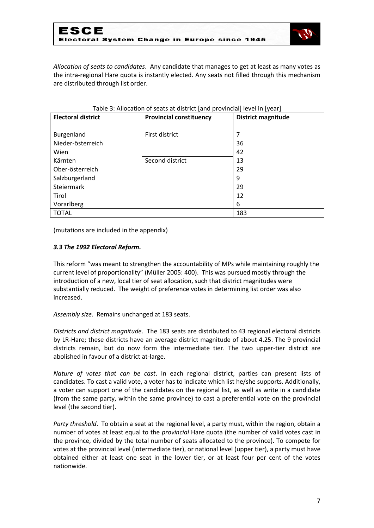

*Allocation of seats to candidates*. Any candidate that manages to get at least as many votes as the intra-regional Hare quota is instantly elected. Any seats not filled through this mechanism are distributed through list order.

| <b>Electoral district</b> | <b>Provincial constituency</b> | <b>District magnitude</b> |
|---------------------------|--------------------------------|---------------------------|
|                           |                                |                           |
| Burgenland                | First district                 |                           |
| Nieder-österreich         |                                | 36                        |
| Wien                      |                                | 42                        |
| Kärnten                   | Second district                | 13                        |
| Ober-österreich           |                                | 29                        |
| Salzburgerland            |                                | 9                         |
| Steiermark                |                                | 29                        |
| Tirol                     |                                | 12                        |
| Vorarlberg                |                                | 6                         |
| <b>TOTAL</b>              |                                | 183                       |

| Table 3: Allocation of seats at district [and provincial] level in [year] |  |
|---------------------------------------------------------------------------|--|
|---------------------------------------------------------------------------|--|

(mutations are included in the appendix)

#### *3.3 The 1992 Electoral Reform.*

This reform "was meant to strengthen the accountability of MPs while maintaining roughly the current level of proportionality" (Müller 2005: 400). This was pursued mostly through the introduction of a new, local tier of seat allocation, such that district magnitudes were substantially reduced. The weight of preference votes in determining list order was also increased.

*Assembly size*. Remains unchanged at 183 seats.

*Districts and district magnitude*. The 183 seats are distributed to 43 regional electoral districts by LR-Hare; these districts have an average district magnitude of about 4.25. The 9 provincial districts remain, but do now form the intermediate tier. The two upper-tier district are abolished in favour of a district at-large.

*Nature of votes that can be cast*. In each regional district, parties can present lists of candidates. To cast a valid vote, a voter has to indicate which list he/she supports. Additionally, a voter can support one of the candidates on the regional list, as well as write in a candidate (from the same party, within the same province) to cast a preferential vote on the provincial level (the second tier).

*Party threshold*. To obtain a seat at the regional level, a party must, within the region, obtain a number of votes at least equal to the *provincial* Hare quota (the number of valid votes cast in the province, divided by the total number of seats allocated to the province). To compete for votes at the provincial level (intermediate tier), or national level (upper tier), a party must have obtained either at least one seat in the lower tier, or at least four per cent of the votes nationwide.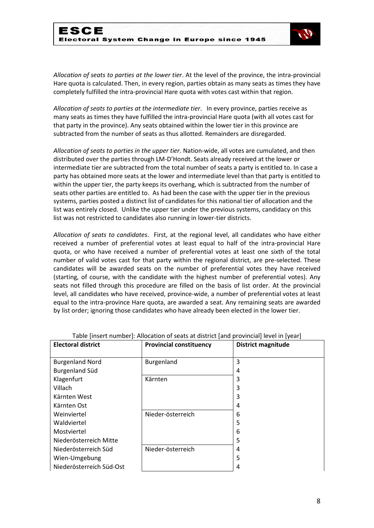

*Allocation of seats to parties at the lower tier*. At the level of the province, the intra-provincial Hare quota is calculated. Then, in every region, parties obtain as many seats as times they have completely fulfilled the intra-provincial Hare quota with votes cast within that region.

*Allocation of seats to parties at the intermediate tier*. In every province, parties receive as many seats as times they have fulfilled the intra-provincial Hare quota (with all votes cast for that party in the province). Any seats obtained within the lower tier in this province are subtracted from the number of seats as thus allotted. Remainders are disregarded.

*Allocation of seats to parties in the upper tier.* Nation-wide, all votes are cumulated, and then distributed over the parties through LM-D'Hondt. Seats already received at the lower or intermediate tier are subtracted from the total number of seats a party is entitled to. In case a party has obtained more seats at the lower and intermediate level than that party is entitled to within the upper tier, the party keeps its overhang, which is subtracted from the number of seats other parties are entitled to. As had been the case with the upper tier in the previous systems, parties posted a distinct list of candidates for this national tier of allocation and the list was entirely closed. Unlike the upper tier under the previous systems, candidacy on this list was not restricted to candidates also running in lower-tier districts.

*Allocation of seats to candidates*. First, at the regional level, all candidates who have either received a number of preferential votes at least equal to half of the intra-provincial Hare quota, or who have received a number of preferential votes at least one sixth of the total number of valid votes cast for that party within the regional district, are pre-selected. These candidates will be awarded seats on the number of preferential votes they have received (starting, of course, with the candidate with the highest number of preferential votes). Any seats not filled through this procedure are filled on the basis of list order. At the provincial level, all candidates who have received, province-wide, a number of preferential votes at least equal to the intra-province Hare quota, are awarded a seat. Any remaining seats are awarded by list order; ignoring those candidates who have already been elected in the lower tier.

| <b>Electoral district</b> | . aproximation in the computation of source at about the provincial force in figure<br><b>Provincial constituency</b> | <b>District magnitude</b> |
|---------------------------|-----------------------------------------------------------------------------------------------------------------------|---------------------------|
|                           |                                                                                                                       |                           |
| <b>Burgenland Nord</b>    | Burgenland                                                                                                            | 3                         |
| <b>Burgenland Süd</b>     |                                                                                                                       | 4                         |
| Klagenfurt                | Kärnten                                                                                                               | 3                         |
| Villach                   |                                                                                                                       | 3                         |
| Kärnten West              |                                                                                                                       | 3                         |
| Kärnten Ost               |                                                                                                                       | 4                         |
| Weinviertel               | Nieder-österreich                                                                                                     | 6                         |
| Waldviertel               |                                                                                                                       | 5                         |
| Mostviertel               |                                                                                                                       | 6                         |
| Niederösterreich Mitte    |                                                                                                                       | 5                         |
| Niederösterreich Süd      | Nieder-österreich                                                                                                     | 4                         |
| Wien-Umgebung             |                                                                                                                       | 5                         |
| Niederösterreich Süd-Ost  |                                                                                                                       | 4                         |

Table [insert number]: Allocation of seats at district [and provincial] level in [year]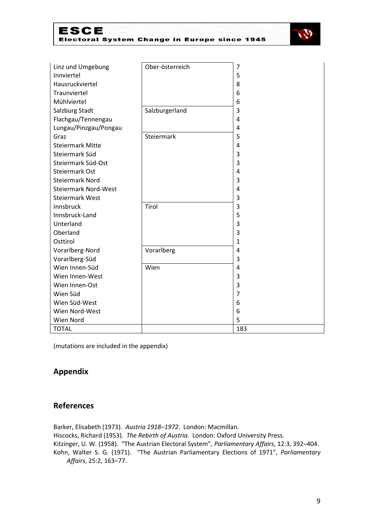| ESCE                                         |  |  |  |
|----------------------------------------------|--|--|--|
| Electoral System Change in Europe since 1945 |  |  |  |



| Linz und Umgebung           | Ober-österreich | 7              |
|-----------------------------|-----------------|----------------|
| Innviertel                  |                 | 5              |
| Hausruckviertel             |                 | 8              |
| Traunviertel                |                 | 6              |
| Mühlviertel                 |                 | 6              |
| Salzburg Stadt              | Salzburgerland  | 3              |
| Flachgau/Tennengau          |                 | 4              |
| Lungau/Pinzgau/Pongau       |                 | $\overline{4}$ |
| Graz                        | Steiermark      | 5              |
| <b>Steiermark Mitte</b>     |                 | 4              |
| Steiermark Süd              |                 | 3              |
| Steiermark Süd-Ost          |                 | 3              |
| Steiermark Ost              |                 | $\overline{4}$ |
| <b>Steiermark Nord</b>      |                 | 3              |
| <b>Steiermark Nord-West</b> |                 | 4              |
| <b>Steiermark West</b>      |                 | 3              |
| Innsbruck                   | Tirol           | 3              |
| Innsbruck-Land              |                 | 5              |
| Unterland                   |                 | 3              |
| Oberland                    |                 | 3              |
| Osttirol                    |                 | $\mathbf{1}$   |
| Vorarlberg-Nord             | Vorarlberg      | 4              |
| Vorarlberg-Süd              |                 | 3              |
| Wien Innen-Süd              | Wien            | 4              |
| Wien Innen-West             |                 | 3              |
| Wien Innen-Ost              |                 | 3              |
| Wien Süd                    |                 | 7              |
| Wien Süd-West               |                 | 6              |
| Wien Nord-West              |                 | 6              |
| Wien Nord                   |                 | 5              |
| <b>TOTAL</b>                |                 | 183            |

(mutations are included in the appendix)

## **Appendix**

### **References**

Barker, Elisabeth (1973). *Austria 1918–1972*. London: Macmillan. Hiscocks, Richard (1953). *The Rebirth of Austria*. London: Oxford University Press. Kitzinger, U. W. (1958). "The Austrian Electoral System", *Parliamentary Affairs*, 12:3, 392–404. Kohn, Walter S. G. (1971). "The Austrian Parliamentary Elections of 1971", *Parliamentary Affairs*, 25:2, 163–77.